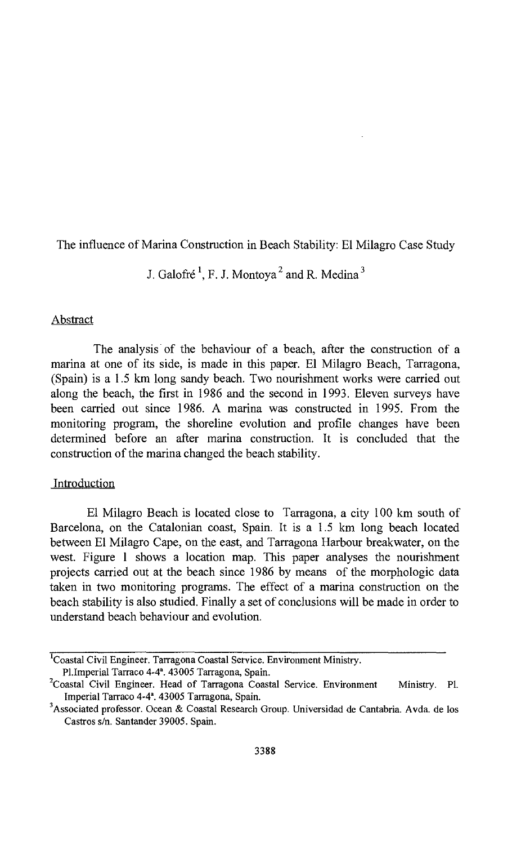The influence of Marina Construction in Beach Stability: El Milagro Case Study

J. Galofré  $^1$ , F. J. Montoya<sup>2</sup> and R. Medina<sup>3</sup>

# Abstract

The analysis of the behaviour of a beach, after the construction of a marina at one of its side, is made in this paper. El Milagro Beach, Tarragona, (Spain) is a 1.5 km long sandy beach. Two nourishment works were carried out along the beach, the first in 1986 and the second in 1993. Eleven surveys have been carried out since 1986. A marina was constructed in 1995. From the monitoring program, the shoreline evolution and profile changes have been determined before an after marina construction. It is concluded that the construction of the marina changed the beach stability.

### Introduction

El Milagro Beach is located close to Tarragona, a city 100 km south of Barcelona, on the Catalonian coast, Spain. It is a 1.5 km long beach located between El Milagro Cape, on the east, and Tarragona Harbour breakwater, on the west. Figure <sup>1</sup> shows a location map. This paper analyses the nourishment projects carried out at the beach since 1986 by means of the morphologic data taken in two monitoring programs. The effect of a marina construction on the beach stability is also studied. Finally a set of conclusions will be made in order to understand beach behaviour and evolution.

<sup>&</sup>lt;sup>1</sup>Coastal Civil Engineer. Tarragona Coastal Service. Environment Ministry.

Pl.Imperial Tarraco 4-4°. 43005 Tarragona, Spain.

<sup>&</sup>lt;sup>2</sup>Coastal Civil Engineer. Head of Tarragona Coastal Service. Environment Ministry. Pl. Imperial Tarraco 4-4". 43005 Tarragona, Spain.

<sup>&#</sup>x27;Associated professor. Ocean & Coastal Research Group. Universidad de Cantabria. Avda. de los Castros s/n. Santander 39005. Spain.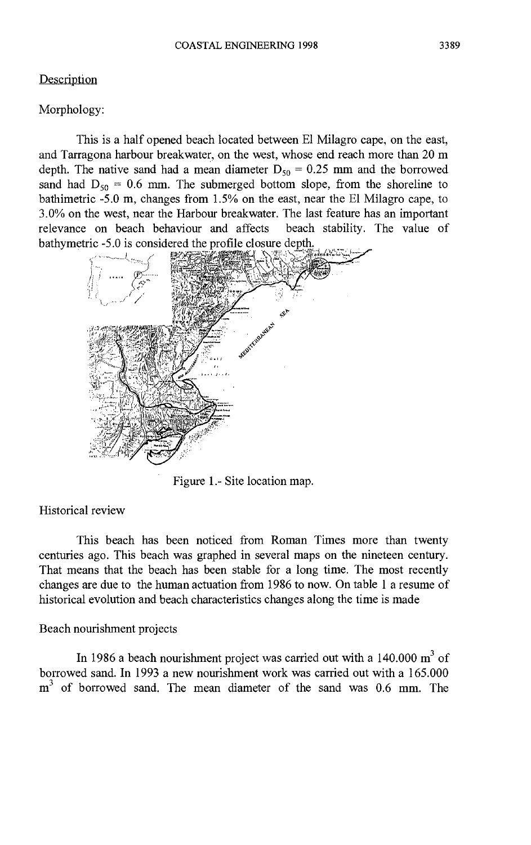#### Description

#### Morphology:

This is a half opened beach located between El Milagro cape, on the east, and Tarragona harbour breakwater, on the west, whose end reach more than 20 m depth. The native sand had a mean diameter  $D_{50} = 0.25$  mm and the borrowed sand had  $D_{50} = 0.6$  mm. The submerged bottom slope, from the shoreline to bathimetric -5.0 m, changes from 1.5% on the east, near the El Milagro cape, to 3.0% on the west, near the Harbour breakwater. The last feature has an important relevance on beach behaviour and affects bathymetric -5.0 is considered the profile closure depth



Figure 1.- Site location map.

# Historical review

This beach has been noticed from Roman Times more than twenty centuries ago. This beach was graphed in several maps on the nineteen century. That means that the beach has been stable for a long time. The most recently changes are due to the human actuation from 1986 to now. On table <sup>1</sup> a resume of historical evolution and beach characteristics changes along the time is made

### Beach nourishment projects

In 1986 a beach nourishment project was carried out with a  $140.000 \text{ m}^3$  of borrowed sand. In 1993 a new nourishment work was carried out with a 165.000  $m<sup>3</sup>$  of borrowed sand. The mean diameter of the sand was 0.6 mm. The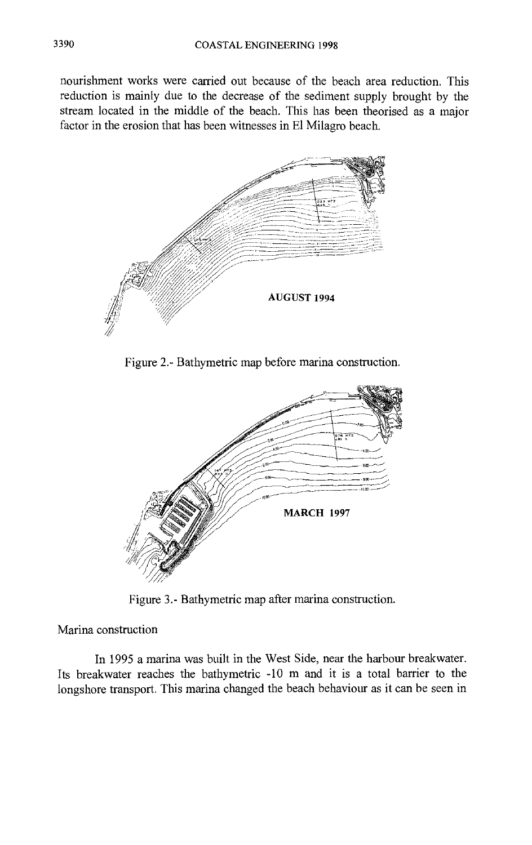nourishment works were carried out because of the beach area reduction. This reduction is mainly due to the decrease of the sediment supply brought by the stream located in the middle of the beach. This has been theorised as a major factor in the erosion that has been witnesses in El Milagro beach.



Figure 2.- Bathymetric map before marina construction.



Figure 3.- Bathymetric map after marina construction.

Marina construction

In 1995 a marina was built in the West Side, near the harbour breakwater. Its breakwater reaches the bathymetric -10 m and it is a total barrier to the longshore transport. This marina changed the beach behaviour as it can be seen in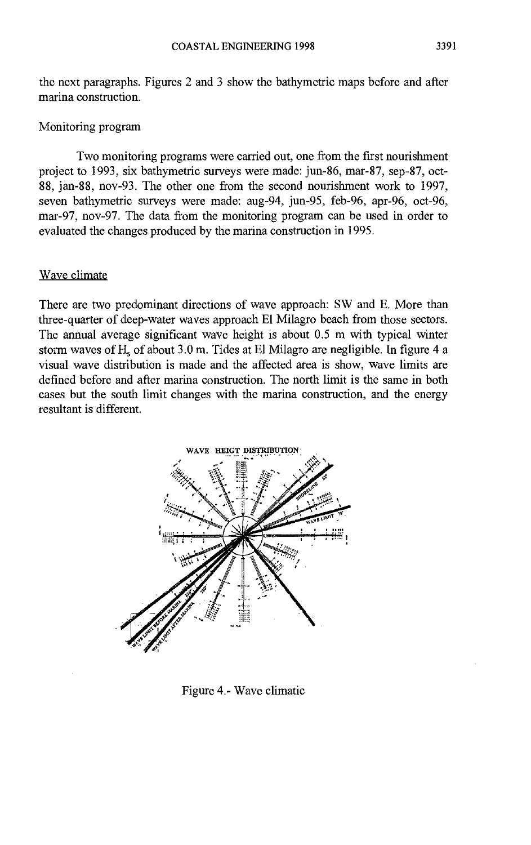## Monitoring program

Two monitoring programs were carried out, one from the first nourishment project to 1993, six bathymetric surveys were made: jun-86, mar-87, sep-87, oct-88, jan-88, nov-93. The other one from the second nourishment work to 1997, seven bathymetric surveys were made: aug-94, jun-95, feb-96, apr-96, oct-96, mar-97, nov-97. The data from the monitoring program can be used in order to evaluated the changes produced by the marina construction in 1995.

# Wave climate

There are two predominant directions of wave approach: SW and E. More than three-quarter of deep-water waves approach El Milagro beach from those sectors. The annual average significant wave height is about 0.5 m with typical winter storm waves of H<sub>s</sub> of about 3.0 m. Tides at El Milagro are negligible. In figure 4 a visual wave distribution is made and the affected area is show, wave limits are defined before and after marina construction. The north limit is the same in both cases but the south limit changes with the marina construction, and the energy resultant is different.



Figure 4.- Wave climatic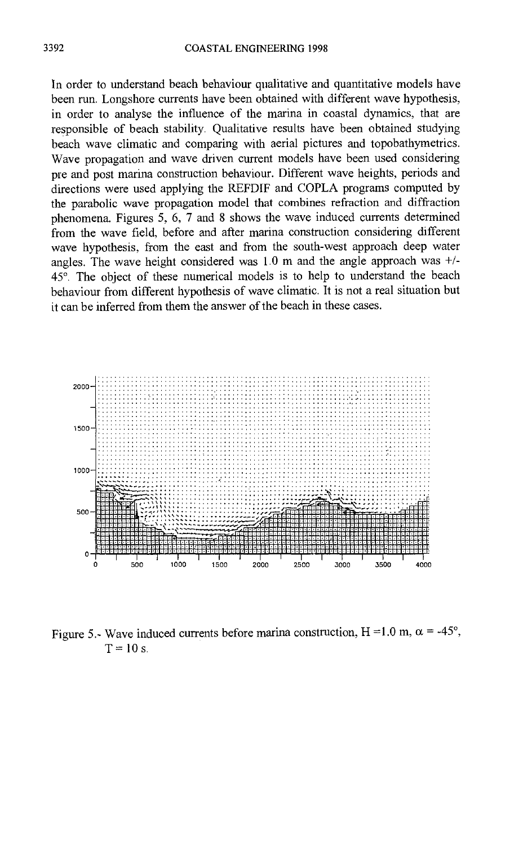In order to understand beach behaviour qualitative and quantitative models have been run. Longshore currents have been obtained with different wave hypothesis, in order to analyse the influence of the marina in coastal dynamics, that are responsible of beach stability. Qualitative results have been obtained studying beach wave climatic and comparing with aerial pictures and topobathymetrics. Wave propagation and wave driven current models have been used considering pre and post marina construction behaviour. Different wave heights, periods and directions were used applying the REFDIF and COPLA programs computed by the parabolic wave propagation model that combines refraction and diffraction phenomena. Figures 5, 6, 7 and 8 shows the wave induced currents determined from the wave field, before and after marina construction considering different wave hypothesis, from the east and from the south-west approach deep water angles. The wave height considered was 1.0 m and the angle approach was +/- 45°. The object of these numerical models is to help to understand the beach behaviour from different hypothesis of wave climatic. It is not a real situation but it can be inferred from them the answer of the beach in these cases.



Figure 5.- Wave induced currents before marina construction, H = 1.0 m,  $\alpha$  = -45°,  $T=10$  s.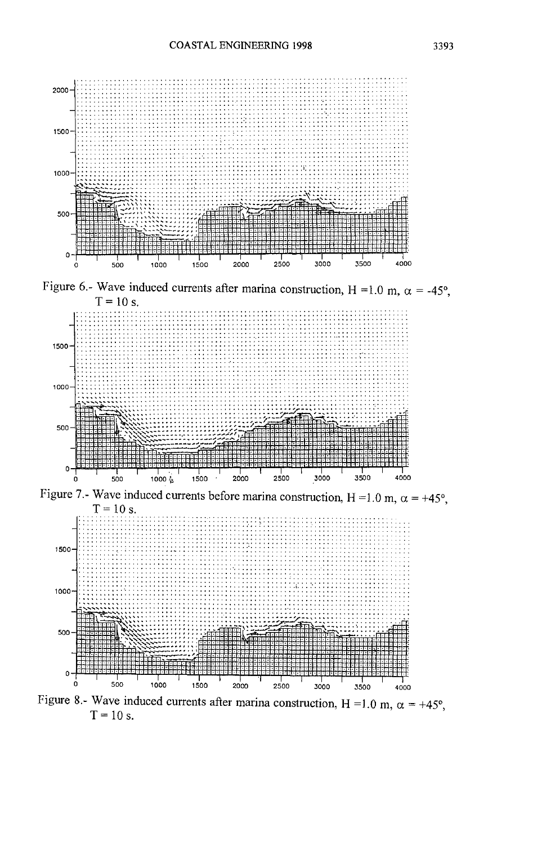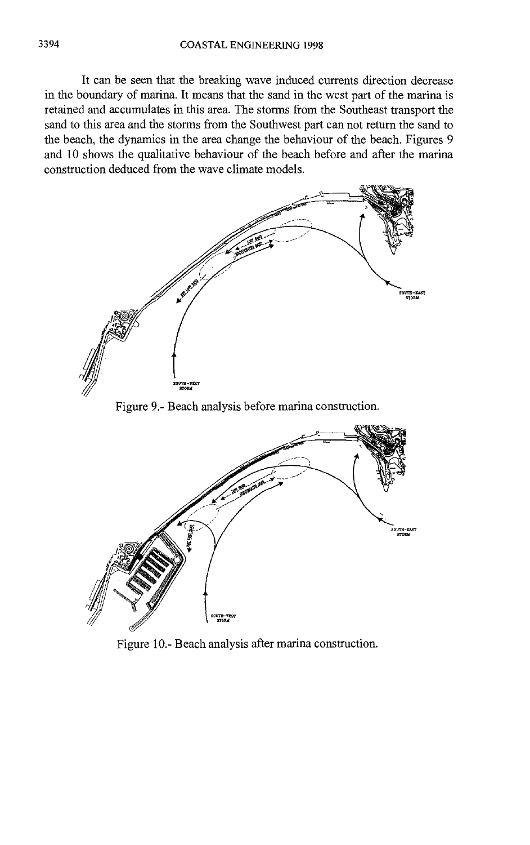It can be seen that the breaking wave induced currents direction decrease in the boundary of marina. It means that the sand in the west part of the marina is retained and accumulates in this area. The storms from the Southeast transport the sand to this area and the storms from the Southwest part can not return the sand to the beach, the dynamics in the area change the behaviour of the beach. Figures 9 and 10 shows the qualitative behaviour of the beach before and after the marina construction deduced from the wave climate models.



Figure 9.- Beach analysis before marina construction.



Figure 10.- Beach analysis after marina construction.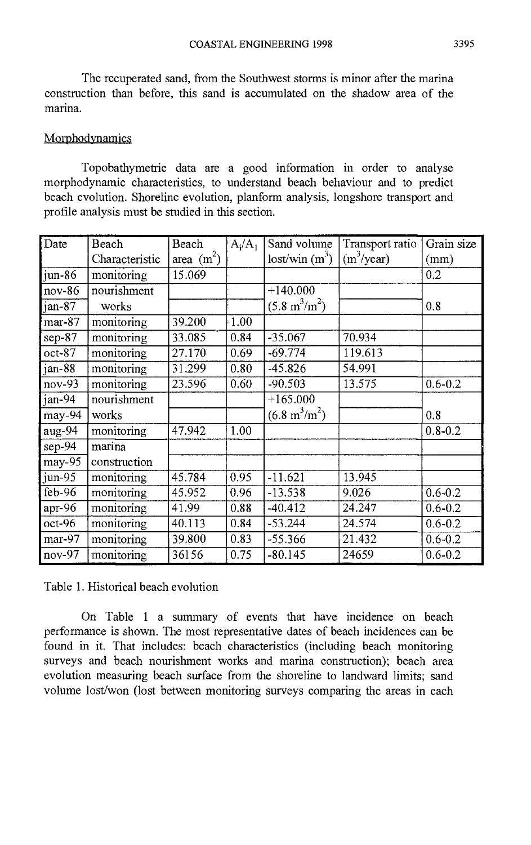The recuperated sand, from the Southwest storms is minor after the marina construction than before, this sand is accumulated on the shadow area of the marina.

### **Morphodynamics**

Topobathymetric data are a good information in order to analyse morphodynamic characteristics, to understand beach behaviour and to predict beach evolution. Shoreline evolution, planform analysis, longshore transport and profile analysis must be studied in this section.

| Date                       | Beach          | Beach        | $A_i/A_1$ | Sand volume                    | Transport ratio | Grain size  |
|----------------------------|----------------|--------------|-----------|--------------------------------|-----------------|-------------|
|                            | Characteristic | area $(m^2)$ |           | lost/win (m <sup>3</sup> )     | $(m^3$ /year)   | (mm)        |
| $\overline{\text{jum-86}}$ | monitoring     | 15.069       |           |                                |                 | 0.2         |
| $nov-86$                   | nourishment    |              |           | $+140.000$                     |                 |             |
| jan-87                     | works          |              |           | $(5.8 \text{ m}^3/\text{m}^2)$ |                 | 0.8         |
| $mar-87$                   | monitoring     | 39.200       | 1.00      |                                |                 |             |
| $sep-87$                   | monitoring     | 33.085       | 0.84      | $-35.067$                      | 70.934          |             |
| $oct-87$                   | monitoring     | 27.170       | 0.69      | $-69.774$                      | 119.613         |             |
| $jan-88$                   | monitoring     | 31.299       | 0.80      | $-45.826$                      | 54.991          |             |
| $nov-93$                   | monitoring     | 23.596       | 0.60      | $-90.503$                      | 13.575          | $0.6 - 0.2$ |
| jan-94                     | nourishment    |              |           | $+165.000$                     |                 |             |
| $may-94$                   | works          |              |           | $(6.8 \text{ m}^3/\text{m}^2)$ |                 | 0.8         |
| aug-94                     | monitoring     | 47.942       | 1.00      |                                |                 | $0.8 - 0.2$ |
| $sep-94$                   | marina         |              |           |                                |                 |             |
| $may-95$                   | construction   |              |           |                                |                 |             |
| jun-95                     | monitoring     | 45.784       | 0.95      | $-11.621$                      | 13.945          |             |
| $feb-96$                   | monitoring     | 45.952       | 0.96      | $-13.538$                      | 9.026           | $0.6 - 0.2$ |
| apr-96                     | monitoring     | 41.99        | 0.88      | $-40.412$                      | 24.247          | $0.6 - 0.2$ |
| oct-96                     | monitoring     | 40.113       | 0.84      | $-53.244$                      | 24.574          | $0.6 - 0.2$ |
| mar-97                     | monitoring     | 39.800       | 0.83      | $-55.366$                      | 21.432          | $0.6 - 0.2$ |
| $nov-97$                   | monitoring     | 36156        | 0.75      | $-80.145$                      | 24659           | $0.6 - 0.2$ |

Table 1. Historical beach evolution

On Table <sup>1</sup> a summary of events that have incidence on beach performance is shown. The most representative dates of beach incidences can be found in it. That includes: beach characteristics (including beach monitoring surveys and beach nourishment works and marina construction); beach area evolution measuring beach surface from the shoreline to landward limits; sand volume lost/won (lost between monitoring surveys comparing the areas in each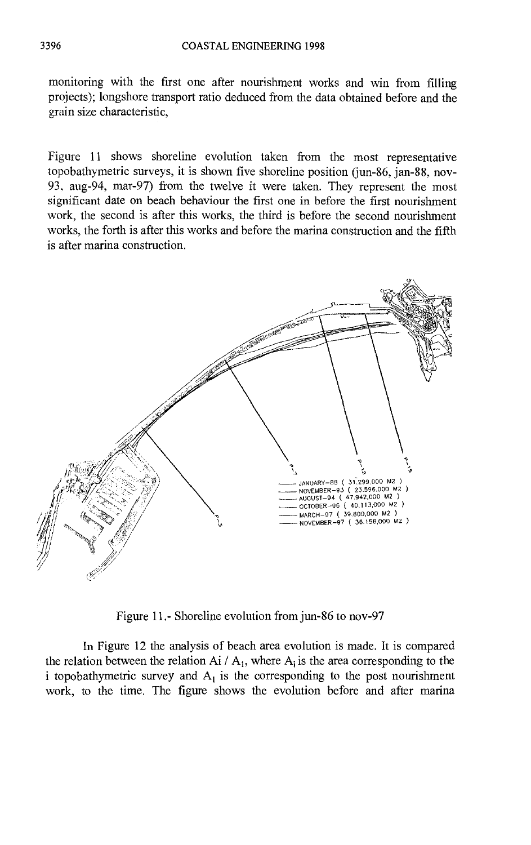monitoring with the first one after nourishment works and win from filling projects); longshore transport ratio deduced from the data obtained before and the grain size characteristic,

Figure 11 shows shoreline evolution taken from the most representative topobathymetric surveys, it is shown five shoreline position (jun-86, jan-88, nov-93, aug-94, mar-97) from the twelve it were taken. They represent the most significant date on beach behaviour the first one in before the first nourishment work, the second is after this works, the third is before the second nourishment works, the forth is after this works and before the marina construction and the fifth is after marina construction.



Figure 11.- Shoreline evolution from jun-86 to nov-97

In Figure 12 the analysis of beach area evolution is made. It is compared the relation between the relation Ai /  $A_1$ , where  $A_i$  is the area corresponding to the i topobathymetric survey and  $A_1$  is the corresponding to the post nourishment work, to the time. The figure shows the evolution before and after marina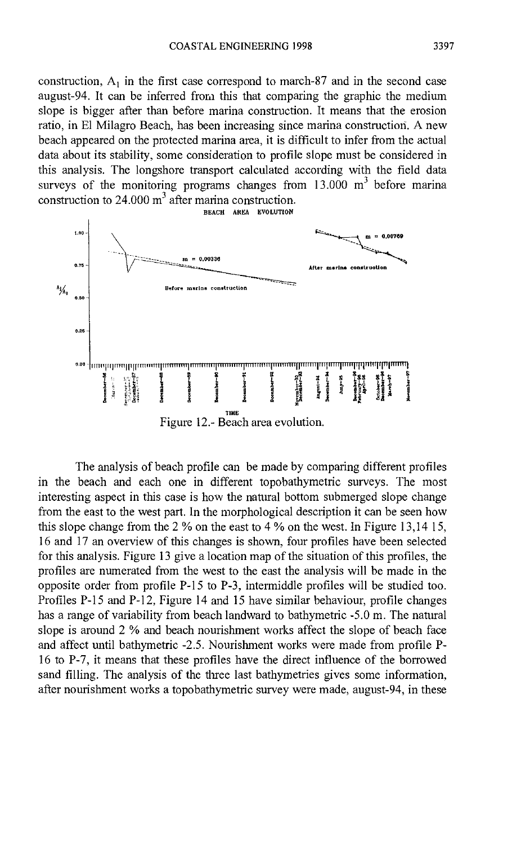construction,  $A_1$  in the first case correspond to march-87 and in the second case august-94. It can be inferred from this that comparing the graphic the medium slope is bigger after than before marina construction. It means that the erosion ratio, in El Milagro Beach, has been increasing since marina construction. A new beach appeared on the protected marina area, it is difficult to infer from the actual data about its stability, some consideration to profile slope must be considered in this analysis. The longshore transport calculated according with the field data surveys of the monitoring programs changes from  $13.000 \text{ m}^3$  before marina construction to  $24.000 \text{ m}^3$  after marina construction.



The analysis of beach profile can be made by comparing different profiles in the beach and each one in different topobathymetric surveys. The most interesting aspect in this case is how the natural bottom submerged slope change from the east to the west part. In the morphological description it can be seen how this slope change from the 2 % on the east to 4 % on the west. In Figure 13,14 15, 16 and 17 an overview of this changes is shown, four profiles have been selected for this analysis. Figure 13 give a location map of the situation of this profiles, the profiles are numerated from the west to the east the analysis will be made in the opposite order from profile P-15 to P-3, intermiddle profiles will be studied too. Profiles P-15 and P-12, Figure 14 and 15 have similar behaviour, profile changes has a range of variability from beach landward to bathymetric -5.0 m. The natural slope is around 2 % and beach nourishment works affect the slope of beach face and affect until bathymetric -2.5. Nourishment works were made from profile P-16 to P-7, it means that these profiles have the direct influence of the borrowed sand filling. The analysis of the three last bathymetries gives some information, after nourishment works a topobathymetric survey were made, august-94, in these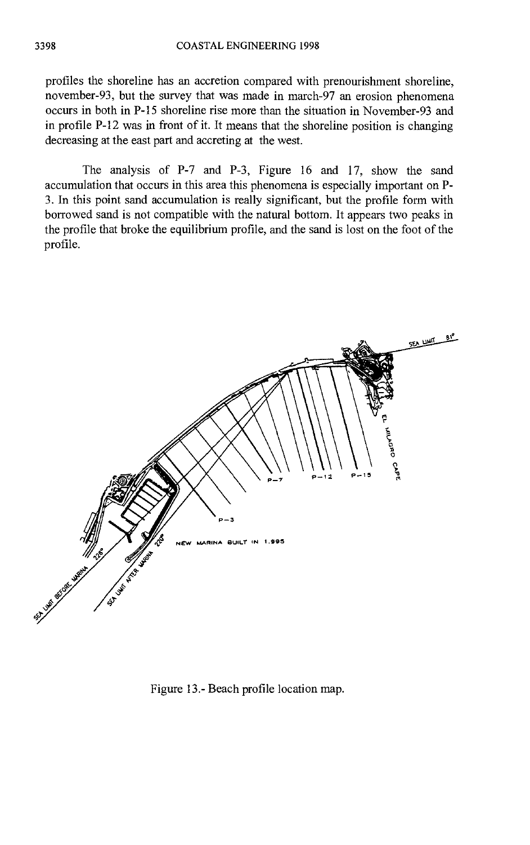profiles the shoreline has an accretion compared with prenourishment shoreline, november-93, but the survey that was made in march-97 an erosion phenomena occurs in both in P-15 shoreline rise more than the situation in November-93 and in profile P-12 was in front of it. It means that the shoreline position is changing decreasing at the east part and accreting at the west.

The analysis of P-7 and P-3, Figure 16 and 17, show the sand accumulation that occurs in this area this phenomena is especially important on P-3. In this point sand accumulation is really significant, but the profile form with borrowed sand is not compatible with the natural bottom. It appears two peaks in the profile that broke the equilibrium profile, and the sand is lost on the foot of the profile.



Figure 13.- Beach profile location map.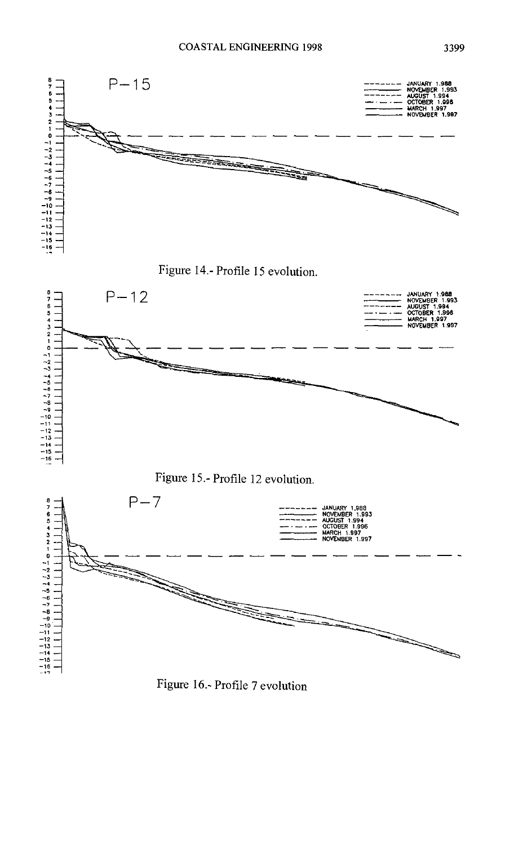

Figure 16.- Profile 7 evolution